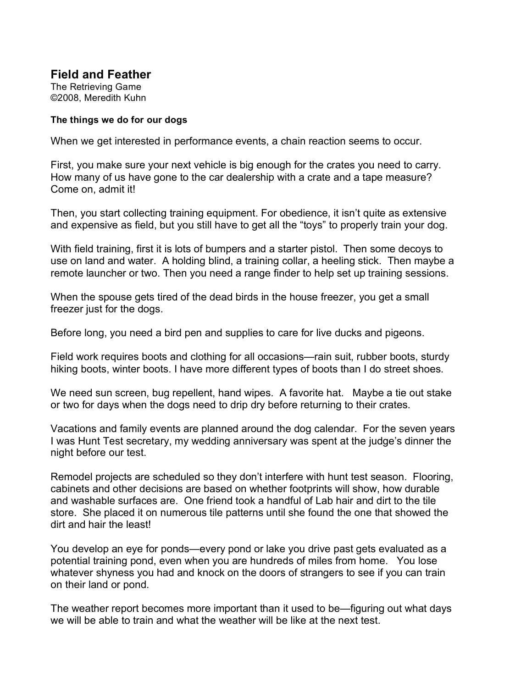**Field and Feather** The Retrieving Game ©2008, Meredith Kuhn

## **The things we do for our dogs**

When we get interested in performance events, a chain reaction seems to occur.

First, you make sure your next vehicle is big enough for the crates you need to carry. How many of us have gone to the car dealership with a crate and a tape measure? Come on, admit it!

Then, you start collecting training equipment. For obedience, it isn't quite as extensive and expensive as field, but you still have to get all the "toys" to properly train your dog.

With field training, first it is lots of bumpers and a starter pistol. Then some decoys to use on land and water. A holding blind, a training collar, a heeling stick. Then maybe a remote launcher or two. Then you need a range finder to help set up training sessions.

When the spouse gets tired of the dead birds in the house freezer, you get a small freezer just for the dogs.

Before long, you need a bird pen and supplies to care for live ducks and pigeons.

Field work requires boots and clothing for all occasions—rain suit, rubber boots, sturdy hiking boots, winter boots. I have more different types of boots than I do street shoes.

We need sun screen, bug repellent, hand wipes. A favorite hat. Maybe a tie out stake or two for days when the dogs need to drip dry before returning to their crates.

Vacations and family events are planned around the dog calendar. For the seven years I was Hunt Test secretary, my wedding anniversary was spent at the judge's dinner the night before our test.

Remodel projects are scheduled so they don't interfere with hunt test season. Flooring, cabinets and other decisions are based on whether footprints will show, how durable and washable surfaces are. One friend took a handful of Lab hair and dirt to the tile store. She placed it on numerous tile patterns until she found the one that showed the dirt and hair the least!

You develop an eye for ponds—every pond or lake you drive past gets evaluated as a potential training pond, even when you are hundreds of miles from home. You lose whatever shyness you had and knock on the doors of strangers to see if you can train on their land or pond.

The weather report becomes more important than it used to be—figuring out what days we will be able to train and what the weather will be like at the next test.